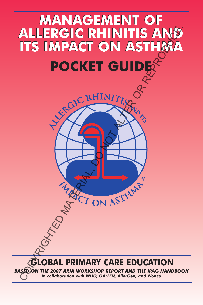# **MANAGEMENT OF MANAGEMENT OF ALLERGIC RHINITIS AND ALLERGIC RHINITIS AND ITS IMPACT ON ASTHMA ITS IMPACT ON ASTHMA POCKET GUIDE** CORPORATION ASTRIAL

**OBAL PRIMARY CARE EDUCATION** 

*BASED ON THE 2007 ARIA WORKSHOP REPORT AND THE IPAG HANDBOOK In collaboration with WHO, GA2LEN, AllerGen, and Wonca*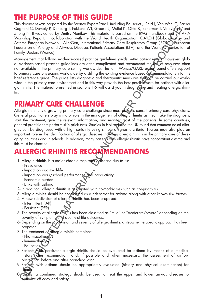#### **THE PURPOSE OF THIS GUIDE**

This document was prepared by the Wonca Expert Panel, including Bousquet J, Reid J, Van Weel C, Baena Cagnani C, Demoly P, Denburg J, Fokkens WJ, Grouse L, Mullol K, Ohta K, Schermer T, Valovirta E,\*and Zhong N. It was edited by Dmitry Nonikov. This material is based on the IPAG Handbook and the ARIA Workshop Report, in collaboration with the World Health Organization, GA2 LEN (Global Allergy and Asthma European Network), AllerGen, International Primary Care Respiratory Group (IPCRG), European Federation of Allergy and Airways Diseases Patients Associations (EFA), and the World Organization of Family Doctors (Wonca).

Management that follows evidence-based practice guidelines yields better patient results. However, global evidence-based practice guidelines are often complicated and recommend the use of resources often not available in the primary care setting worldwide. The joint Wonca/GARD expert panel offers support to primary care physicians worldwide by distilling the existing evidence based to commendations into this brief reference guide. The guide lists diagnostic and therapeutic measures that can be carried out worldwide in the primary care environment and in this way provide the best possible care for patients with allergic rhinitis. The material presented in sections 1-5 will assist you in diagnosing and treating allergic rhinitis. gnost Comoly Pombarg 1. Folders Will Grousse L. Mole K. Schermer V. Volcook Comons C. Denomination and the state of the state of the state of the state of the state of the state of the state of the state of the state of th

#### **PRIMARY CARE CHALLENGE**

Allergic rhinitis is a growing primary care challenge since most patents consult primary care physicians. General practitioners play a major role in the management of allergic rhinitis as they make the diagnosis, start the treatment, give the relevant information, and monitor most of the patients. In some countries, general practitioners perform skin prick tests. Studies in Holland and the UK found that common nasal allergies can be diagnosed with a high certainty using simple diagnostic criteria. Nurses may also play an important role in the identification of allergic diseases including allergic rhinitis in the primary care of developing countries and in schools. In addition, many patients with allergic rhinitis have concomitant asthma and this must be checked.

## **ALLERGIC RHINITIS RECOMMENDATIONS**

- 1- Allergic rhinitis is a major chronic respiratory disease due to its:
	- Prevalence
	- Impact on quality-of-life
	- Impact on work/school performance and productivity
	- Economic burden
	- Links with asthma
- 2- In addition, allergic rhinitis is associated with co-morbidities such as conjunctivitis.
- 3- Allergic rhinitis should be considered as a risk factor for asthma along with other known risk factors.
- 4- A new subdivision of allergic rhinitis has been proposed:
	- Intermittent (IAR)
	- Persistent (PER)
- 5- The severity of allergic rimatis has been classified as "mild" or "moderate/severe" depending on the severity of symptoms and quality-of-life outcomes.
- 6- Depending on the subdivision and severity of allergic rhinitis, a stepwise therapeutic approach has been proposed.
- 7- The treatment of allergic rhinitis combines:
	- Pharmacotherapy
	- Immunotherapy
	- Education
- 8- Patients with persistent allergic rhinitis should be evaluated for asthma by means of a medical history, chest examination, and, if possible and when necessary, the assessment of airflow obstruction before and after bronchodilator.
- 9- Patibuts with asthma should be appropriately evaluated (history and physical examination) for rhinitis.
- 10- Ideally, a combined strategy should be used to treat the upper and lower airway diseases to optimize efficacy and safety.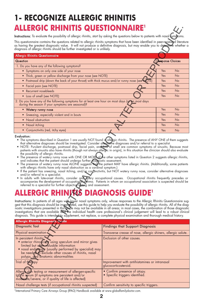# **ALLERGIC RHINITIS QUESTIONNAIRE1 1- RECOGNIZE ALLERGIC RHINITIS**

| Instructions: To evaluate the possibility of allergic rhinitis, start by asking the questions below to patients with nasal symptoms.                                                                                                                                                                                                                                                                                                                                                                                                                                                                                                                                                                                                                                                                                                                                                                                                                                                                                                                                                                                                                                                                                                                                                                                                                                                                                                                                                                                                                                                                                                                                                                                                                                                                                                                      |                                                                       |                         |  |  |  |
|-----------------------------------------------------------------------------------------------------------------------------------------------------------------------------------------------------------------------------------------------------------------------------------------------------------------------------------------------------------------------------------------------------------------------------------------------------------------------------------------------------------------------------------------------------------------------------------------------------------------------------------------------------------------------------------------------------------------------------------------------------------------------------------------------------------------------------------------------------------------------------------------------------------------------------------------------------------------------------------------------------------------------------------------------------------------------------------------------------------------------------------------------------------------------------------------------------------------------------------------------------------------------------------------------------------------------------------------------------------------------------------------------------------------------------------------------------------------------------------------------------------------------------------------------------------------------------------------------------------------------------------------------------------------------------------------------------------------------------------------------------------------------------------------------------------------------------------------------------------|-----------------------------------------------------------------------|-------------------------|--|--|--|
| This questionnaire contains the questions related to allergic rhinitis symptoms that have been identified in peer-reviewed literature<br>as having the greatest diagnostic value. It will not produce a definitive diagnosis, but may enable you to determine whether a<br>diagnosis of allergic rhinitis should be further investigated or is unlikely.                                                                                                                                                                                                                                                                                                                                                                                                                                                                                                                                                                                                                                                                                                                                                                                                                                                                                                                                                                                                                                                                                                                                                                                                                                                                                                                                                                                                                                                                                                  |                                                                       |                         |  |  |  |
| Allergic Rhinitis Questionnaire                                                                                                                                                                                                                                                                                                                                                                                                                                                                                                                                                                                                                                                                                                                                                                                                                                                                                                                                                                                                                                                                                                                                                                                                                                                                                                                                                                                                                                                                                                                                                                                                                                                                                                                                                                                                                           |                                                                       |                         |  |  |  |
| Question                                                                                                                                                                                                                                                                                                                                                                                                                                                                                                                                                                                                                                                                                                                                                                                                                                                                                                                                                                                                                                                                                                                                                                                                                                                                                                                                                                                                                                                                                                                                                                                                                                                                                                                                                                                                                                                  |                                                                       | <b>Response Choices</b> |  |  |  |
| 1. Do you have any of the following symptoms?                                                                                                                                                                                                                                                                                                                                                                                                                                                                                                                                                                                                                                                                                                                                                                                                                                                                                                                                                                                                                                                                                                                                                                                                                                                                                                                                                                                                                                                                                                                                                                                                                                                                                                                                                                                                             |                                                                       |                         |  |  |  |
| • Symptoms on only one side of your nose                                                                                                                                                                                                                                                                                                                                                                                                                                                                                                                                                                                                                                                                                                                                                                                                                                                                                                                                                                                                                                                                                                                                                                                                                                                                                                                                                                                                                                                                                                                                                                                                                                                                                                                                                                                                                  |                                                                       | Yes<br>No               |  |  |  |
| • Thick, green or yellow discharge from your nose (see NOTE)                                                                                                                                                                                                                                                                                                                                                                                                                                                                                                                                                                                                                                                                                                                                                                                                                                                                                                                                                                                                                                                                                                                                                                                                                                                                                                                                                                                                                                                                                                                                                                                                                                                                                                                                                                                              |                                                                       | Yes<br>No               |  |  |  |
| • Postnasal drip (down the back of your throat) with thick mucus and/or runny nose (see <sup>4</sup> )                                                                                                                                                                                                                                                                                                                                                                                                                                                                                                                                                                                                                                                                                                                                                                                                                                                                                                                                                                                                                                                                                                                                                                                                                                                                                                                                                                                                                                                                                                                                                                                                                                                                                                                                                    | IOTEI                                                                 | Yes<br>No               |  |  |  |
| • Facial pain (see NOTE)                                                                                                                                                                                                                                                                                                                                                                                                                                                                                                                                                                                                                                                                                                                                                                                                                                                                                                                                                                                                                                                                                                                                                                                                                                                                                                                                                                                                                                                                                                                                                                                                                                                                                                                                                                                                                                  |                                                                       | Yes<br>No               |  |  |  |
| • Recurrent nosebleeds                                                                                                                                                                                                                                                                                                                                                                                                                                                                                                                                                                                                                                                                                                                                                                                                                                                                                                                                                                                                                                                                                                                                                                                                                                                                                                                                                                                                                                                                                                                                                                                                                                                                                                                                                                                                                                    |                                                                       | Yes<br>No               |  |  |  |
| • Loss of smell (see NOTE)                                                                                                                                                                                                                                                                                                                                                                                                                                                                                                                                                                                                                                                                                                                                                                                                                                                                                                                                                                                                                                                                                                                                                                                                                                                                                                                                                                                                                                                                                                                                                                                                                                                                                                                                                                                                                                |                                                                       | Yes<br>No               |  |  |  |
| 2. Do you have any of the following symptoms for at least one hour on most days (or<br>during the season if your symptoms are seasonal)?                                                                                                                                                                                                                                                                                                                                                                                                                                                                                                                                                                                                                                                                                                                                                                                                                                                                                                                                                                                                                                                                                                                                                                                                                                                                                                                                                                                                                                                                                                                                                                                                                                                                                                                  | <b>o</b> n most days                                                  |                         |  |  |  |
| • Watery runny nose                                                                                                                                                                                                                                                                                                                                                                                                                                                                                                                                                                                                                                                                                                                                                                                                                                                                                                                                                                                                                                                                                                                                                                                                                                                                                                                                                                                                                                                                                                                                                                                                                                                                                                                                                                                                                                       |                                                                       | Yes<br>No               |  |  |  |
| • Sneezing, especially violent and in bouts                                                                                                                                                                                                                                                                                                                                                                                                                                                                                                                                                                                                                                                                                                                                                                                                                                                                                                                                                                                                                                                                                                                                                                                                                                                                                                                                                                                                                                                                                                                                                                                                                                                                                                                                                                                                               |                                                                       | Yes<br>No               |  |  |  |
| • Nasal obstruction                                                                                                                                                                                                                                                                                                                                                                                                                                                                                                                                                                                                                                                                                                                                                                                                                                                                                                                                                                                                                                                                                                                                                                                                                                                                                                                                                                                                                                                                                                                                                                                                                                                                                                                                                                                                                                       |                                                                       | Yes<br>No               |  |  |  |
| • Nasal itching                                                                                                                                                                                                                                                                                                                                                                                                                                                                                                                                                                                                                                                                                                                                                                                                                                                                                                                                                                                                                                                                                                                                                                                                                                                                                                                                                                                                                                                                                                                                                                                                                                                                                                                                                                                                                                           |                                                                       | Yes<br>No               |  |  |  |
| • Conjunctivitis (red, itchy eyes)                                                                                                                                                                                                                                                                                                                                                                                                                                                                                                                                                                                                                                                                                                                                                                                                                                                                                                                                                                                                                                                                                                                                                                                                                                                                                                                                                                                                                                                                                                                                                                                                                                                                                                                                                                                                                        |                                                                       | Yes<br>No               |  |  |  |
| NOTE: Purulent discharge, postnasal drip, facial pain, and loss of smell are common symptoms of sinusitis. Because most<br>patients with sinusitis also have rhinitis (though not always allergic in origin), in this situation the clinician should also evaluate<br>the possibility of allergic rhinitis.<br>The presence of watery runny nose with ONE OR MORE of the other symptoms listed in Question 2 suggests allergic rhinitis,<br>and indicates that the patient should undergo further diagnostic assessment.<br>The presence of watery runny nose ALONE suggests that the patient MAY have allergic rhinitis. (Additionally, some patients<br>with allergic rhinitis have only nasal obstruction as a cardinal symptom.)<br>If the patient has sneezing, nasal itching, and/or confonctivitis, but NOT watery runny nose, consider alternative diagnoses<br>and/or referral to a specialist.<br>. In adults with late onset rhinitis, consider and query occupational causes. Occupational rhinitis frequently precedes or<br>accompanies the development of occupational asthma. Patients in whom an occupational association is suspected should be<br>referred to a specialist for further objective testing and assessment.<br>NIMA<br>Instructions: In patients of all ages with lower nasal symptoms only, whose responses to the Allergic Rhinitis Questionnaire suggest that this diagnosis should be investigated, use this guide to help you evaluate the possi<br>nostic investigations presented in this goide may not be available in all areas; in most cases, the combination of those diagnostic<br>investigations that are available and the individual health care professional's clinical j<br>diagnosis. This guide is intended to supplement, not replace, a complete physical examination and thorough medical history. | DIAGNOSIS GUIDE'                                                      |                         |  |  |  |
| <b>Allergic Rhinitis Diagnosis Guide</b>                                                                                                                                                                                                                                                                                                                                                                                                                                                                                                                                                                                                                                                                                                                                                                                                                                                                                                                                                                                                                                                                                                                                                                                                                                                                                                                                                                                                                                                                                                                                                                                                                                                                                                                                                                                                                  |                                                                       |                         |  |  |  |
| <b>Diagnostic Tool</b>                                                                                                                                                                                                                                                                                                                                                                                                                                                                                                                                                                                                                                                                                                                                                                                                                                                                                                                                                                                                                                                                                                                                                                                                                                                                                                                                                                                                                                                                                                                                                                                                                                                                                                                                                                                                                                    | <b>Findings that Support Diagnosis</b>                                |                         |  |  |  |
| Physical examination                                                                                                                                                                                                                                                                                                                                                                                                                                                                                                                                                                                                                                                                                                                                                                                                                                                                                                                                                                                                                                                                                                                                                                                                                                                                                                                                                                                                                                                                                                                                                                                                                                                                                                                                                                                                                                      | Transverse crease of nose, allergic shiners, allergic salute.         |                         |  |  |  |
| In persistent rhinitis:<br>· anterior rhinoscopy using speculum and mirror gives<br>limited but often valuable information<br>nasal endoscopy (usually performed by specialist) may<br>be needed to exclude other causes of rhinitis, nasal<br>polyps, and anatomic abnormalities                                                                                                                                                                                                                                                                                                                                                                                                                                                                                                                                                                                                                                                                                                                                                                                                                                                                                                                                                                                                                                                                                                                                                                                                                                                                                                                                                                                                                                                                                                                                                                         | Exclusion of other causes.                                            |                         |  |  |  |
| Trial of therapy                                                                                                                                                                                                                                                                                                                                                                                                                                                                                                                                                                                                                                                                                                                                                                                                                                                                                                                                                                                                                                                                                                                                                                                                                                                                                                                                                                                                                                                                                                                                                                                                                                                                                                                                                                                                                                          | Improvement with antihistamines or intranasal<br>glucocorticosteroid. |                         |  |  |  |
| Allergy skin testing or measurement of allergen-specific<br>lgE in serum (if symptoms are persistent and/or<br>moderate/severe, or if quality of life is affected)                                                                                                                                                                                                                                                                                                                                                                                                                                                                                                                                                                                                                                                                                                                                                                                                                                                                                                                                                                                                                                                                                                                                                                                                                                                                                                                                                                                                                                                                                                                                                                                                                                                                                        | • Contirm presence of atopy.<br>• Specific triggers identified.       |                         |  |  |  |

#### Evaluation:

- patients with sinusitis also have rhinitis (though not always allergic in origin), in this situation the clinician should also evaluate the possibility of allergic rhinitis.
- The presence of watery runny nose with ONE OR MORE of the other symptoms listed in Question 2 suggests allergic rhinitis,
- and indicates that the patient should undergo turther diagnostic assessment.<br>• The presence of watery runny nose ALONE suggests that the patient MAY have allergic rhinitis. (Additionally, some patients with allergic rhinitis have only nasal obstruction as a cardinal symptom.)
- If the patient has sneezing, nasal itching, and/or confunctivitis, but NOT watery runny nose, consider alternative diagnoses and/or referral to a specialist.
- n adults with late-onset rhinitis, consider and auery occupational causes. Occupational rhinitis frequently precedes or •<br>Gacompanies the development of occupational ashma. Patients in whom an occupational association is referred to a specialist for further objective testing and assessment.

# **KAS DIAGNOSIS GUIDE<sup>1</sup>**

| <b>Allergic Rhinitis Diagnosis Guide</b>                                                                                                                                                                                                                                            |                                                                       |  |  |  |
|-------------------------------------------------------------------------------------------------------------------------------------------------------------------------------------------------------------------------------------------------------------------------------------|-----------------------------------------------------------------------|--|--|--|
| Diagnostic Tool                                                                                                                                                                                                                                                                     | <b>Findings that Support Diagnosis</b>                                |  |  |  |
| Physical examination                                                                                                                                                                                                                                                                | Transverse crease of nose, allergic shiners, allergic salute.         |  |  |  |
| In persistent rhinitis:<br>• anterior rhinoscopy using speculum and mirror gives<br>limited but often valuable information<br>• nasal endostopy (usually performed by specialist) may<br>be needed to exclude other causes of rhinitis, nasal<br>polyps, and anatomic abnormalities | Exclusion of other causes.                                            |  |  |  |
| Trial of therapy                                                                                                                                                                                                                                                                    | Improvement with antihistamines or intranasal<br>glucocorticosteroid. |  |  |  |
| Allergy skin testing or measurement of allergen-specific<br>lgE (in serum (if symptoms are persistent and/or<br>moderate/severe, or if quality of life is affected)                                                                                                                 | • Confirm presence of atopy.<br>• Specific triggers identified.       |  |  |  |
| Nasal challenge tests (if occupational rhinitis suspected)                                                                                                                                                                                                                          | Confirm sensitivity to specific triggers.                             |  |  |  |

1International Primary Care Airways Group (IPAG) Handbook available at www.globalfamilydoctor.com.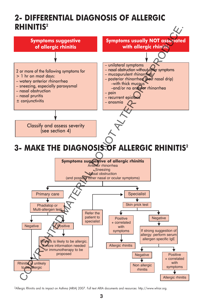### **2- DIFFERENTIAL DIAGNOSIS OF ALLERGIC RHINITIS2**



2Allergic Rhinitis and its impact on Asthma (ARIA) 2007. Full text ARIA documents and resources: http://www.whiar.org.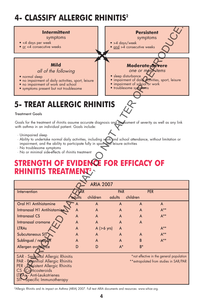# **4- CLASSIFY ALLERGIC RHINITIS2**



2Allergic Rhinitis and its impact on Asthma (ARIA) 2007. Full text ARIA documents and resources: www.whiar.org.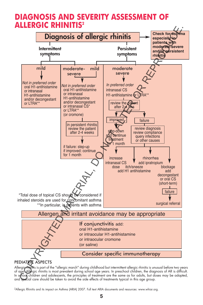#### **DIAGNOSIS AND SEVERITY ASSESSMENT OF ALLERGIC RHINITIS2**



Allergic rhinitis is part of the "allergic march" during childhood but intermittent allergic rhinitis is unusual before two years of age. Allergic rhinitis is most prevalent during school age years. In preschool children, the diagnosis of AR is difficult. In school children and adolescents, the principles of treatment are the same as for adults, but doses may be adapted, and special care should be taken to avoid the side effects of treatments typical in this age group.

2Allergic Rhinitis and its impact on Asthma (ARIA) 2007. Full text ARIA documents and resources: www.whiar.org.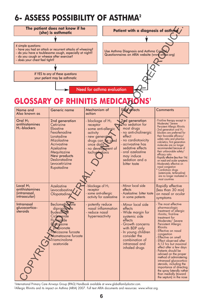# **6- ASSESS POSSIBILITY OF ASTHMA2**



1International Primary Care Airways Group (IPAG) Handbook available at www.globalfamilydoctor.com.

2Allergic Rhinitis and its impact on Asthma (ARIA) 2007. Full text ARIA documents and resources: www.whiar.org.